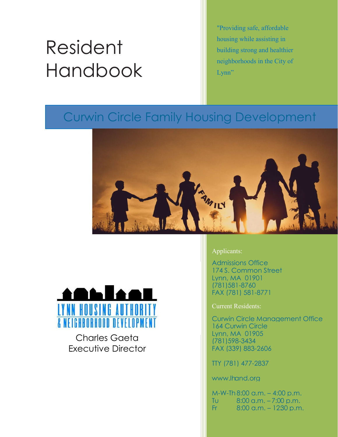# Resident Handbook

"Providing safe, affordable housing while assisting in building strong and healthier neighborhoods in the City of Lynn"

# Curwin Circle Family Housing Development





Charles Gaeta Executive Director

#### Applicants:

Admissions Office 174 S. Common Street Lynn, MA 01901 (781)581-8760 FAX (781) 581-8771

Current Residents:

Curwin Circle Management Office 164 Curwin Circle Lynn, MA 01905 (781)598-3434 FAX (339) 883-2606

TTY (781) 477-2837

www.lhand.org

M-W-Th 8:00 a.m. – 4:00 p.m. Tu 8:00 a.m. – 7:00 p.m. Fr  $8:00$  a.m.  $-1230$  p.m.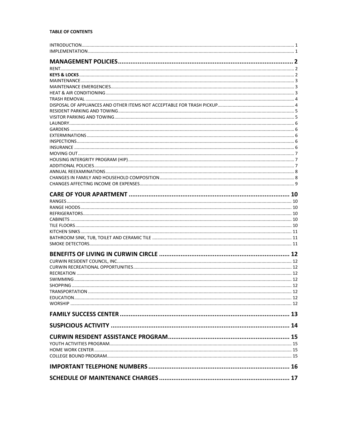#### **TABLE OF CONTENTS**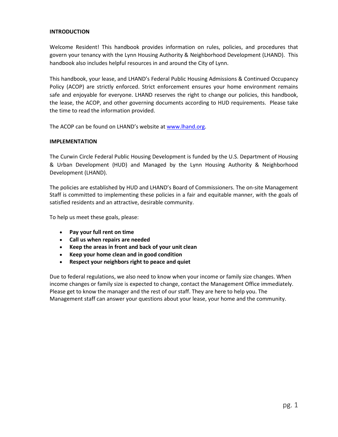#### <span id="page-2-0"></span>**INTRODUCTION**

Welcome Resident! This handbook provides information on rules, policies, and procedures that govern your tenancy with the Lynn Housing Authority & Neighborhood Development (LHAND). This handbook also includes helpful resources in and around the City of Lynn.

This handbook, your lease, and LHAND's Federal Public Housing Admissions & Continued Occupancy Policy (ACOP) are strictly enforced. Strict enforcement ensures your home environment remains safe and enjoyable for everyone. LHAND reserves the right to change our policies, this handbook, the lease, the ACOP, and other governing documents according to HUD requirements. Please take the time to read the information provided.

The ACOP can be found on LHAND's website at [www.lhand.org.](http://www.lhand.org/)

#### <span id="page-2-1"></span>**IMPLEMENTATION**

The Curwin Circle Federal Public Housing Development is funded by the U.S. Department of Housing & Urban Development (HUD) and Managed by the Lynn Housing Authority & Neighborhood Development (LHAND).

The policies are established by HUD and LHAND's Board of Commissioners. The on-site Management Staff is committed to implementing these policies in a fair and equitable manner, with the goals of satisfied residents and an attractive, desirable community.

To help us meet these goals, please:

- **Pay your full rent on time**
- **Call us when repairs are needed**
- **Keep the areas in front and back of your unit clean**
- **Keep your home clean and in good condition**
- **Respect your neighbors right to peace and quiet**

Due to federal regulations, we also need to know when your income or family size changes. When income changes or family size is expected to change, contact the Management Office immediately. Please get to know the manager and the rest of our staff. They are here to help you. The Management staff can answer your questions about your lease, your home and the community.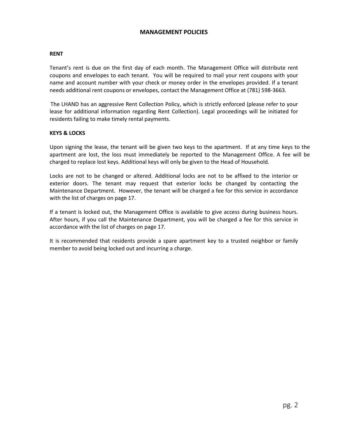#### **MANAGEMENT POLICIES**

#### <span id="page-3-1"></span><span id="page-3-0"></span>**RENT**

Tenant's rent is due on the first day of each month. The Management Office will distribute rent coupons and envelopes to each tenant. You will be required to mail your rent coupons with your name and account number with your check or money order in the envelopes provided. If a tenant needs additional rent coupons or envelopes, contact the Management Office at (781) 598-3663.

The LHAND has an aggressive Rent Collection Policy, which is strictly enforced (please refer to your lease for additional information regarding Rent Collection). Legal proceedings will be initiated for residents failing to make timely rental payments.

#### <span id="page-3-2"></span>**KEYS & LOCKS**

Upon signing the lease, the tenant will be given two keys to the apartment. If at any time keys to the apartment are lost, the loss must immediately be reported to the Management Office. A fee will be charged to replace lost keys. Additional keys will only be given to the Head of Household.

Locks are not to be changed or altered. Additional locks are not to be affixed to the interior or exterior doors. The tenant may request that exterior locks be changed by contacting the Maintenance Department. However, the tenant will be charged a fee for this service in accordance with the list of charges on page 17.

If a tenant is locked out, the Management Office is available to give access during business hours. After hours, if you call the Maintenance Department, you will be charged a fee for this service in accordance with the list of charges on page 17.

It is recommended that residents provide a spare apartment key to a trusted neighbor or family member to avoid being locked out and incurring a charge.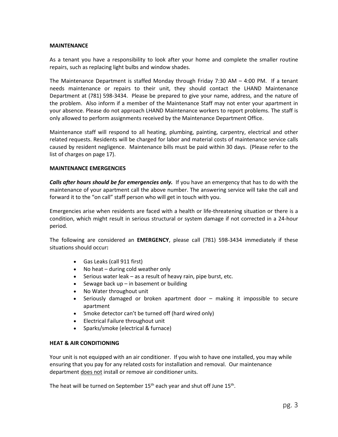#### <span id="page-4-0"></span>**MAINTENANCE**

As a tenant you have a responsibility to look after your home and complete the smaller routine repairs, such as replacing light bulbs and window shades.

The Maintenance Department is staffed Monday through Friday 7:30 AM – 4:00 PM. If a tenant needs maintenance or repairs to their unit, they should contact the LHAND Maintenance Department at (781) 598-3434. Please be prepared to give your name, address, and the nature of the problem. Also inform if a member of the Maintenance Staff may not enter your apartment in your absence. Please do not approach LHAND Maintenance workers to report problems. The staff is only allowed to perform assignments received by the Maintenance Department Office.

Maintenance staff will respond to all heating, plumbing, painting, carpentry, electrical and other related requests. Residents will be charged for labor and material costs of maintenance service calls caused by resident negligence. Maintenance bills must be paid within 30 days. (Please refer to the list of charges on page 17).

#### <span id="page-4-1"></span>**MAINTENANCE EMERGENCIES**

*Calls after hours should be for emergencies only.* If you have an emergency that has to do with the maintenance of your apartment call the above number. The answering service will take the call and forward it to the "on call" staff person who will get in touch with you.

Emergencies arise when residents are faced with a health or life-threatening situation or there is a condition, which might result in serious structural or system damage if not corrected in a 24-hour period.

The following are considered an **EMERGENCY**, please call (781) 598-3434 immediately if these situations should occur**:**

- Gas Leaks (call 911 first)
- No heat during cold weather only
- Serious water leak as a result of heavy rain, pipe burst, etc.
- Sewage back  $up$  in basement or building
- No Water throughout unit
- Seriously damaged or broken apartment door making it impossible to secure apartment
- Smoke detector can't be turned off (hard wired only)
- Electrical Failure throughout unit
- Sparks/smoke (electrical & furnace)

#### <span id="page-4-2"></span>**HEAT & AIR CONDITIONING**

Your unit is not equipped with an air conditioner. If you wish to have one installed, you may while ensuring that you pay for any related costs for installation and removal. Our maintenance department does not install or remove air conditioner units.

The heat will be turned on September  $15<sup>th</sup>$  each year and shut off June  $15<sup>th</sup>$ .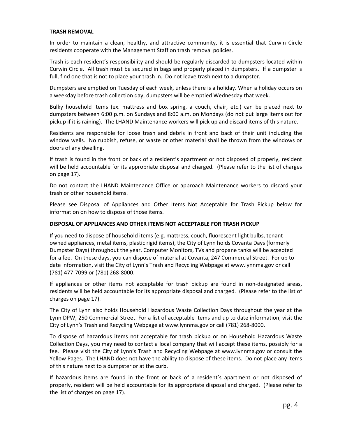#### <span id="page-5-0"></span>**TRASH REMOVAL**

In order to maintain a clean, healthy, and attractive community, it is essential that Curwin Circle residents cooperate with the Management Staff on trash removal policies.

Trash is each resident's responsibility and should be regularly discarded to dumpsters located within Curwin Circle. All trash must be secured in bags and properly placed in dumpsters. If a dumpster is full, find one that is not to place your trash in. Do not leave trash next to a dumpster.

Dumpsters are emptied on Tuesday of each week, unless there is a holiday. When a holiday occurs on a weekday before trash collection day, dumpsters will be emptied Wednesday that week.

Bulky household items (ex. mattress and box spring, a couch, chair, etc.) can be placed next to dumpsters between 6:00 p.m. on Sundays and 8:00 a.m. on Mondays (do not put large items out for pickup if it is raining). The LHAND Maintenance workers will pick up and discard items of this nature.

Residents are responsible for loose trash and debris in front and back of their unit including the window wells. No rubbish, refuse, or waste or other material shall be thrown from the windows or doors of any dwelling.

If trash is found in the front or back of a resident's apartment or not disposed of properly, resident will be held accountable for its appropriate disposal and charged. (Please refer to the list of charges on page 17).

Do not contact the LHAND Maintenance Office or approach Maintenance workers to discard your trash or other household items.

Please see Disposal of Appliances and Other Items Not Acceptable for Trash Pickup below for information on how to dispose of those items.

#### <span id="page-5-1"></span>**DISPOSAL OF APPLIANCES AND OTHER ITEMS NOT ACCEPTABLE FOR TRASH PICKUP**

If you need to dispose of household items (e.g. mattress, couch, fluorescent light bulbs, tenant owned appliances, metal items, plastic rigid items), the City of Lynn holds Covanta Days (formerly Dumpster Days) throughout the year. Computer Monitors, TVs and propane tanks will be accepted for a fee. On these days, you can dispose of material at Covanta, 247 Commercial Street. For up to date information, visit the City of Lynn's Trash and Recycling Webpage at [www.lynnma.gov](http://www.lynnma.gov/) or call (781) 477-7099 or (781) 268-8000.

If appliances or other items not acceptable for trash pickup are found in non-designated areas, residents will be held accountable for its appropriate disposal and charged. (Please refer to the list of charges on page 17).

The City of Lynn also holds Household Hazardous Waste Collection Days throughout the year at the Lynn DPW, 250 Commercial Street. For a list of acceptable items and up to date information, visit the City of Lynn's Trash and Recycling Webpage at [www.lynnma.gov](http://www.lynnma.gov/) or call (781) 268-8000.

To dispose of hazardous items not acceptable for trash pickup or on Household Hazardous Waste Collection Days, you may need to contact a local company that will accept these items, possibly for a fee. Please visit the City of Lynn's Trash and Recycling Webpage at [www.lynnma.gov](http://www.lynnma.gov/) or consult the Yellow Pages. The LHAND does not have the ability to dispose of these items. Do not place any items of this nature next to a dumpster or at the curb.

If hazardous items are found in the front or back of a resident's apartment or not disposed of properly, resident will be held accountable for its appropriate disposal and charged. (Please refer to the list of charges on page 17).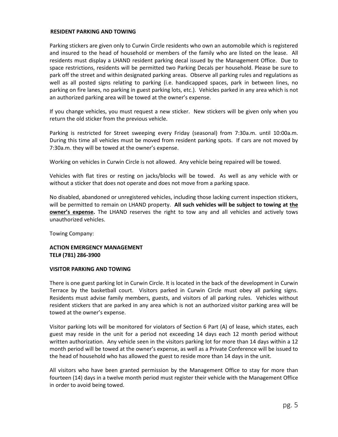#### <span id="page-6-0"></span>**RESIDENT PARKING AND TOWING**

Parking stickers are given only to Curwin Circle residents who own an automobile which is registered and insured to the head of household or members of the family who are listed on the lease. All residents must display a LHAND resident parking decal issued by the Management Office. Due to space restrictions, residents will be permitted two Parking Decals per household. Please be sure to park off the street and within designated parking areas. Observe all parking rules and regulations as well as all posted signs relating to parking (i.e. handicapped spaces, park in between lines, no parking on fire lanes, no parking in guest parking lots, etc.). Vehicles parked in any area which is not an authorized parking area will be towed at the owner's expense.

If you change vehicles, you must request a new sticker. New stickers will be given only when you return the old sticker from the previous vehicle.

Parking is restricted for Street sweeping every Friday (seasonal) from 7:30a.m. until 10:00a.m. During this time all vehicles must be moved from resident parking spots. If cars are not moved by 7:30a.m. they will be towed at the owner's expense.

Working on vehicles in Curwin Circle is not allowed. Any vehicle being repaired will be towed.

Vehicles with flat tires or resting on jacks/blocks will be towed. As well as any vehicle with or without a sticker that does not operate and does not move from a parking space.

No disabled, abandoned or unregistered vehicles, including those lacking current inspection stickers, will be permitted to remain on LHAND property. **All such vehicles will be subject to towing at the owner's expense.** The LHAND reserves the right to tow any and all vehicles and actively tows unauthorized vehicles.

Towing Company:

#### **ACTION EMERGENCY MANAGEMENT TEL# (781) 286-3900**

#### <span id="page-6-1"></span>**VISITOR PARKING AND TOWING**

There is one guest parking lot in Curwin Circle. It is located in the back of the development in Curwin Terrace by the basketball court. Visitors parked in Curwin Circle must obey all parking signs. Residents must advise family members, guests, and visitors of all parking rules. Vehicles without resident stickers that are parked in any area which is not an authorized visitor parking area will be towed at the owner's expense.

Visitor parking lots will be monitored for violators of Section 6 Part (A) of lease, which states, each guest may reside in the unit for a period not exceeding 14 days each 12 month period without written authorization. Any vehicle seen in the visitors parking lot for more than 14 days within a 12 month period will be towed at the owner's expense, as well as a Private Conference will be issued to the head of household who has allowed the guest to reside more than 14 days in the unit.

All visitors who have been granted permission by the Management Office to stay for more than fourteen (14) days in a twelve month period must register their vehicle with the Management Office in order to avoid being towed.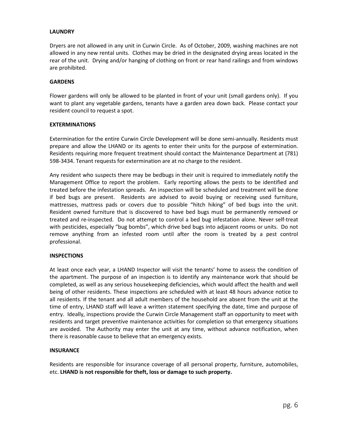#### <span id="page-7-0"></span>**LAUNDRY**

Dryers are not allowed in any unit in Curwin Circle. As of October, 2009, washing machines are not allowed in any new rental units. Clothes may be dried in the designated drying areas located in the rear of the unit. Drying and/or hanging of clothing on front or rear hand railings and from windows are prohibited.

#### <span id="page-7-1"></span>**GARDENS**

Flower gardens will only be allowed to be planted in front of your unit (small gardens only). If you want to plant any vegetable gardens, tenants have a garden area down back. Please contact your resident council to request a spot.

#### <span id="page-7-2"></span>**EXTERMINATIONS**

Extermination for the entire Curwin Circle Development will be done semi-annually. Residents must prepare and allow the LHAND or its agents to enter their units for the purpose of extermination. Residents requiring more frequent treatment should contact the Maintenance Department at (781) 598-3434. Tenant requests for extermination are at no charge to the resident.

Any resident who suspects there may be bedbugs in their unit is required to immediately notify the Management Office to report the problem. Early reporting allows the pests to be identified and treated before the infestation spreads. An inspection will be scheduled and treatment will be done if bed bugs are present. Residents are advised to avoid buying or receiving used furniture, mattresses, mattress pads or covers due to possible "hitch hiking" of bed bugs into the unit. Resident owned furniture that is discovered to have bed bugs must be permanently removed or treated and re-inspected. Do not attempt to control a bed bug infestation alone. Never self-treat with pesticides, especially "bug bombs", which drive bed bugs into adjacent rooms or units. Do not remove anything from an infested room until after the room is treated by a pest control professional.

#### <span id="page-7-3"></span>**INSPECTIONS**

At least once each year, a LHAND Inspector will visit the tenants' home to assess the condition of the apartment. The purpose of an inspection is to identify any maintenance work that should be completed, as well as any serious housekeeping deficiencies, which would affect the health and well being of other residents. These inspections are scheduled with at least 48 hours advance notice to all residents. If the tenant and all adult members of the household are absent from the unit at the time of entry, LHAND staff will leave a written statement specifying the date, time and purpose of entry. Ideally, inspections provide the Curwin Circle Management staff an opportunity to meet with residents and target preventive maintenance activities for completion so that emergency situations are avoided. The Authority may enter the unit at any time, without advance notification, when there is reasonable cause to believe that an emergency exists.

#### <span id="page-7-4"></span>**INSURANCE**

Residents are responsible for insurance coverage of all personal property, furniture, automobiles, etc. **LHAND is not responsible for theft, loss or damage to such property.**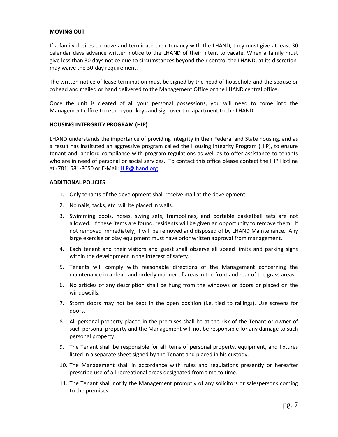#### <span id="page-8-0"></span>**MOVING OUT**

If a family desires to move and terminate their tenancy with the LHAND, they must give at least 30 calendar days advance written notice to the LHAND of their intent to vacate. When a family must give less than 30 days notice due to circumstances beyond their control the LHAND, at its discretion, may waive the 30-day requirement.

The written notice of lease termination must be signed by the head of household and the spouse or cohead and mailed or hand delivered to the Management Office or the LHAND central office.

Once the unit is cleared of all your personal possessions, you will need to come into the Management office to return your keys and sign over the apartment to the LHAND.

#### <span id="page-8-1"></span>**HOUSING INTERGRITY PROGRAM (HIP)**

LHAND understands the importance of providing integrity in their Federal and State housing, and as a result has instituted an aggressive program called the Housing Integrity Program (HIP), to ensure tenant and landlord compliance with program regulations as well as to offer assistance to tenants who are in need of personal or social services. To contact this office please contact the HIP Hotline at (781) 581-8650 or E-Mail: [HIP@lhand.org](mailto:HIP@lhand.org)

#### <span id="page-8-2"></span>**ADDITIONAL POLICIES**

- 1. Only tenants of the development shall receive mail at the development.
- 2. No nails, tacks, etc. will be placed in walls.
- 3. Swimming pools, hoses, swing sets, trampolines, and portable basketball sets are not allowed. If these items are found, residents will be given an opportunity to remove them. If not removed immediately, it will be removed and disposed of by LHAND Maintenance. Any large exercise or play equipment must have prior written approval from management.
- 4. Each tenant and their visitors and guest shall observe all speed limits and parking signs within the development in the interest of safety.
- 5. Tenants will comply with reasonable directions of the Management concerning the maintenance in a clean and orderly manner of areas in the front and rear of the grass areas.
- 6. No articles of any description shall be hung from the windows or doors or placed on the windowsills.
- 7. Storm doors may not be kept in the open position (i.e. tied to railings). Use screens for doors.
- 8. All personal property placed in the premises shall be at the risk of the Tenant or owner of such personal property and the Management will not be responsible for any damage to such personal property.
- 9. The Tenant shall be responsible for all items of personal property, equipment, and fixtures listed in a separate sheet signed by the Tenant and placed in his custody.
- 10. The Management shall in accordance with rules and regulations presently or hereafter prescribe use of all recreational areas designated from time to time.
- 11. The Tenant shall notify the Management promptly of any solicitors or salespersons coming to the premises.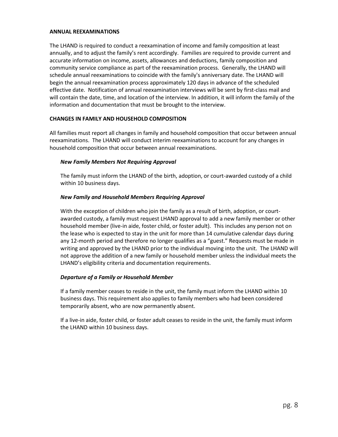#### <span id="page-9-0"></span>**ANNUAL REEXAMINATIONS**

The LHAND is required to conduct a reexamination of income and family composition at least annually, and to adjust the family's rent accordingly. Families are required to provide current and accurate information on income, assets, allowances and deductions, family composition and community service compliance as part of the reexamination process. Generally, the LHAND will schedule annual reexaminations to coincide with the family's anniversary date. The LHAND will begin the annual reexamination process approximately 120 days in advance of the scheduled effective date. Notification of annual reexamination interviews will be sent by first-class mail and will contain the date, time, and location of the interview. In addition, it will inform the family of the information and documentation that must be brought to the interview.

#### <span id="page-9-1"></span>**CHANGES IN FAMILY AND HOUSEHOLD COMPOSITION**

All families must report all changes in family and household composition that occur between annual reexaminations. The LHAND will conduct interim reexaminations to account for any changes in household composition that occur between annual reexaminations.

#### *New Family Members Not Requiring Approval*

The family must inform the LHAND of the birth, adoption, or court-awarded custody of a child within 10 business days.

#### *New Family and Household Members Requiring Approval*

With the exception of children who join the family as a result of birth, adoption, or courtawarded custody, a family must request LHAND approval to add a new family member or other household member (live-in aide, foster child, or foster adult). This includes any person not on the lease who is expected to stay in the unit for more than 14 cumulative calendar days during any 12-month period and therefore no longer qualifies as a "guest." Requests must be made in writing and approved by the LHAND prior to the individual moving into the unit. The LHAND will not approve the addition of a new family or household member unless the individual meets the LHAND's eligibility criteria and documentation requirements.

#### *Departure of a Family or Household Member*

If a family member ceases to reside in the unit, the family must inform the LHAND within 10 business days. This requirement also applies to family members who had been considered temporarily absent, who are now permanently absent.

If a live-in aide, foster child, or foster adult ceases to reside in the unit, the family must inform the LHAND within 10 business days.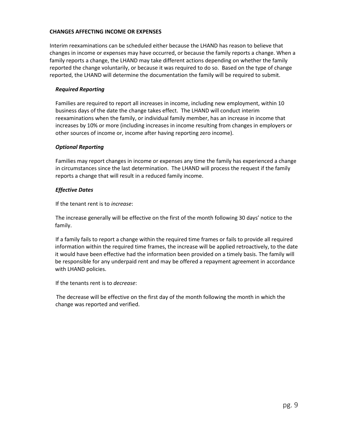#### <span id="page-10-0"></span>**CHANGES AFFECTING INCOME OR EXPENSES**

Interim reexaminations can be scheduled either because the LHAND has reason to believe that changes in income or expenses may have occurred, or because the family reports a change. When a family reports a change, the LHAND may take different actions depending on whether the family reported the change voluntarily, or because it was required to do so. Based on the type of change reported, the LHAND will determine the documentation the family will be required to submit.

#### *Required Reporting*

Families are required to report all increases in income, including new employment, within 10 business days of the date the change takes effect. The LHAND will conduct interim reexaminations when the family, or individual family member, has an increase in income that increases by 10% or more (including increases in income resulting from changes in employers or other sources of income or, income after having reporting zero income).

#### *Optional Reporting*

Families may report changes in income or expenses any time the family has experienced a change in circumstances since the last determination. The LHAND will process the request if the family reports a change that will result in a reduced family income.

#### *Effective Dates*

If the tenant rent is to *increase*:

The increase generally will be effective on the first of the month following 30 days' notice to the family.

If a family fails to report a change within the required time frames or fails to provide all required information within the required time frames, the increase will be applied retroactively, to the date it would have been effective had the information been provided on a timely basis. The family will be responsible for any underpaid rent and may be offered a repayment agreement in accordance with LHAND policies.

If the tenants rent is to *decrease*:

The decrease will be effective on the first day of the month following the month in which the change was reported and verified.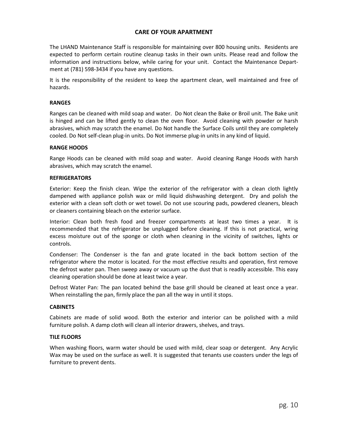#### **CARE OF YOUR APARTMENT**

<span id="page-11-0"></span>The LHAND Maintenance Staff is responsible for maintaining over 800 housing units. Residents are expected to perform certain routine cleanup tasks in their own units. Please read and follow the information and instructions below, while caring for your unit. Contact the Maintenance Department at (781) 598-3434 if you have any questions.

It is the responsibility of the resident to keep the apartment clean, well maintained and free of hazards.

#### <span id="page-11-1"></span>**RANGES**

Ranges can be cleaned with mild soap and water. Do Not clean the Bake or Broil unit. The Bake unit is hinged and can be lifted gently to clean the oven floor. Avoid cleaning with powder or harsh abrasives, which may scratch the enamel. Do Not handle the Surface Coils until they are completely cooled. Do Not self-clean plug-in units. Do Not immerse plug-in units in any kind of liquid.

#### <span id="page-11-2"></span>**RANGE HOODS**

Range Hoods can be cleaned with mild soap and water. Avoid cleaning Range Hoods with harsh abrasives, which may scratch the enamel.

#### <span id="page-11-3"></span>**REFRIGERATORS**

Exterior: Keep the finish clean. Wipe the exterior of the refrigerator with a clean cloth lightly dampened with appliance polish wax or mild liquid dishwashing detergent. Dry and polish the exterior with a clean soft cloth or wet towel. Do not use scouring pads, powdered cleaners, bleach or cleaners containing bleach on the exterior surface.

Interior: Clean both fresh food and freezer compartments at least two times a year. It is recommended that the refrigerator be unplugged before cleaning. If this is not practical, wring excess moisture out of the sponge or cloth when cleaning in the vicinity of switches, lights or controls.

Condenser: The Condenser is the fan and grate located in the back bottom section of the refrigerator where the motor is located. For the most effective results and operation, first remove the defrost water pan. Then sweep away or vacuum up the dust that is readily accessible. This easy cleaning operation should be done at least twice a year.

Defrost Water Pan: The pan located behind the base grill should be cleaned at least once a year. When reinstalling the pan, firmly place the pan all the way in until it stops.

#### <span id="page-11-4"></span>**CABINETS**

Cabinets are made of solid wood. Both the exterior and interior can be polished with a mild furniture polish. A damp cloth will clean all interior drawers, shelves, and trays.

#### <span id="page-11-5"></span>**TILE FLOORS**

When washing floors, warm water should be used with mild, clear soap or detergent. Any Acrylic Wax may be used on the surface as well. It is suggested that tenants use coasters under the legs of furniture to prevent dents.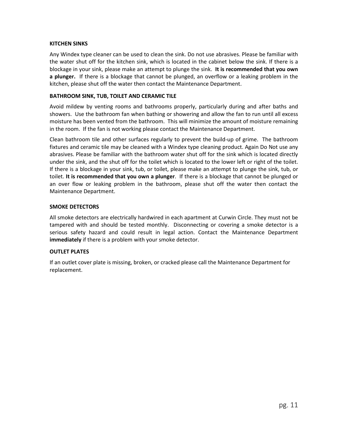#### <span id="page-12-0"></span>**KITCHEN SINKS**

Any Windex type cleaner can be used to clean the sink. Do not use abrasives. Please be familiar with the water shut off for the kitchen sink, which is located in the cabinet below the sink. If there is a blockage in your sink, please make an attempt to plunge the sink. **It is recommended that you own a plunger.** If there is a blockage that cannot be plunged, an overflow or a leaking problem in the kitchen, please shut off the water then contact the Maintenance Department.

#### <span id="page-12-1"></span>**BATHROOM SINK, TUB, TOILET AND CERAMIC TILE**

Avoid mildew by venting rooms and bathrooms properly, particularly during and after baths and showers. Use the bathroom fan when bathing or showering and allow the fan to run until all excess moisture has been vented from the bathroom. This will minimize the amount of moisture remaining in the room. If the fan is not working please contact the Maintenance Department.

Clean bathroom tile and other surfaces regularly to prevent the build-up of grime. The bathroom fixtures and ceramic tile may be cleaned with a Windex type cleaning product. Again Do Not use any abrasives. Please be familiar with the bathroom water shut off for the sink which is located directly under the sink, and the shut off for the toilet which is located to the lower left or right of the toilet. If there is a blockage in your sink, tub, or toilet, please make an attempt to plunge the sink, tub, or toilet. **It is recommended that you own a plunger**. If there is a blockage that cannot be plunged or an over flow or leaking problem in the bathroom, please shut off the water then contact the Maintenance Department.

#### <span id="page-12-2"></span>**SMOKE DETECTORS**

All smoke detectors are electrically hardwired in each apartment at Curwin Circle. They must not be tampered with and should be tested monthly. Disconnecting or covering a smoke detector is a serious safety hazard and could result in legal action. Contact the Maintenance Department **immediately** if there is a problem with your smoke detector.

#### **OUTLET PLATES**

If an outlet cover plate is missing, broken, or cracked please call the Maintenance Department for replacement.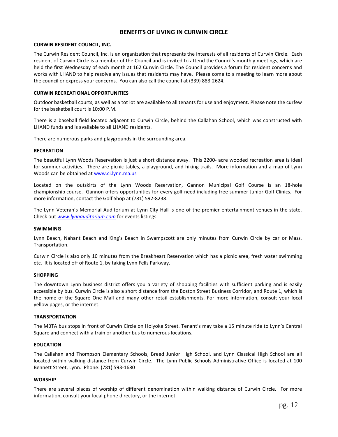#### **BENEFITS OF LIVING IN CURWIN CIRCLE**

#### <span id="page-13-1"></span><span id="page-13-0"></span>**CURWIN RESIDENT COUNCIL, INC.**

The Curwin Resident Council, Inc. is an organization that represents the interests of all residents of Curwin Circle. Each resident of Curwin Circle is a member of the Council and is invited to attend the Council's monthly meetings, which are held the first Wednesday of each month at 162 Curwin Circle. The Council provides a forum for resident concerns and works with LHAND to help resolve any issues that residents may have. Please come to a meeting to learn more about the council or express your concerns. You can also call the council at (339) 883-2624.

#### <span id="page-13-2"></span>**CURWIN RECREATIONAL OPPORTUNITIES**

Outdoor basketball courts, as well as a tot lot are available to all tenants for use and enjoyment. Please note the curfew for the basketball court is 10:00 P.M.

There is a baseball field located adjacent to Curwin Circle, behind the Callahan School, which was constructed with LHAND funds and is available to all LHAND residents.

There are numerous parks and playgrounds in the surrounding area.

#### <span id="page-13-3"></span>**RECREATION**

The beautiful Lynn Woods Reservation is just a short distance away. This 2200- acre wooded recreation area is ideal for summer activities. There are picnic tables, a playground, and hiking trails. More information and a map of Lynn Woods can be obtained at [www.ci.lynn.ma.us](http://www.ci.lynn.ma.us/)

Located on the outskirts of the Lynn Woods Reservation, Gannon Municipal Golf Course is an 18-hole championship course. Gannon offers opportunities for every golf need including free summer Junior Golf Clinics. For more information, contact the Golf Shop at (781) 592-8238.

The Lynn Veteran's Memorial Auditorium at Lynn City Hall is one of the premier entertainment venues in the state. Check out *[www.lynnauditorium.com](http://www.lynnauditorium.com/)* for events listings.

#### <span id="page-13-4"></span>**SWIMMING**

Lynn Beach, Nahant Beach and King's Beach in Swampscott are only minutes from Curwin Circle by car or Mass. Transportation.

Curwin Circle is also only 10 minutes from the Breakheart Reservation which has a picnic area, fresh water swimming etc. It is located off of Route 1, by taking Lynn Fells Parkway.

#### <span id="page-13-5"></span>**SHOPPING**

The downtown Lynn business district offers you a variety of shopping facilities with sufficient parking and is easily accessible by bus. Curwin Circle is also a short distance from the Boston Street Business Corridor, and Route 1, which is the home of the Square One Mall and many other retail establishments. For more information, consult your local yellow pages, or the internet.

#### <span id="page-13-6"></span>**TRANSPORTATION**

The MBTA bus stops in front of Curwin Circle on Holyoke Street. Tenant's may take a 15 minute ride to Lynn's Central Square and connect with a train or another bus to numerous locations.

#### <span id="page-13-7"></span>**EDUCATION**

The Callahan and Thompson Elementary Schools, Breed Junior High School, and Lynn Classical High School are all located within walking distance from Curwin Circle. The Lynn Public Schools Administrative Office is located at 100 Bennett Street, Lynn. Phone: (781) 593-1680

#### <span id="page-13-8"></span>**WORSHIP**

There are several places of worship of different denomination within walking distance of Curwin Circle. For more information, consult your local phone directory, or the internet.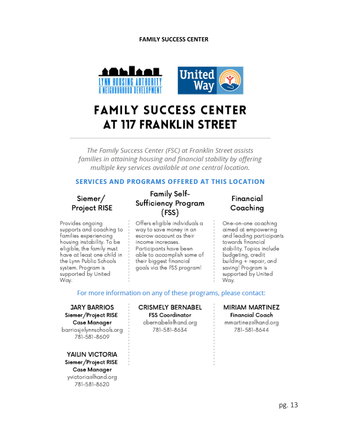#### **FAMILY SUCCESS CENTER**

<span id="page-14-0"></span>

# **FAMILY SUCCESS CENTER AT 117 FRANKLIN STREET**

The Family Success Center (FSC) at Franklin Street assists families in attaining housing and financial stability by offering multiple key services available at one central location.

#### **SERVICES AND PROGRAMS OFFERED AT THIS LOCATION**

## Siemer/ Project RISE

Provides ongoing supports and coaching to families experiencing housing instability. To be eligible, the family must have at least one child in the Lynn Public Schools system. Program is supported by United Way.

## **Family Self-**Sufficiency Program (FSS)

Offers eligible individuals a way to save money in an escrow account as their income increases. Participants have been able to accomplish some of their biggest financial goals via the FSS program!

### Financial Coaching

One-on-one coaching aimed at empowering and leading participants towards financial stability. Topics include budgeting, credit building + repair, and saving! Program is supported by United Way.

#### For more information on any of these programs, please contact:

**JARY BARRIOS** Siemer/Project RISE Case Manager barriosj@lynnschools.org 781-581-8609

**YAILIN VICTORIA** Siemer/Project RISE Case Manager yvictoriaelhand.org 781-581-8620

**CRISMELY BERNABEL FSS Coordinator** cbernabel@lhand.org 781-581-8634

#### **MIRIAM MARTINEZ** Financial Coach

mmartinezelhand.org 781-581-8644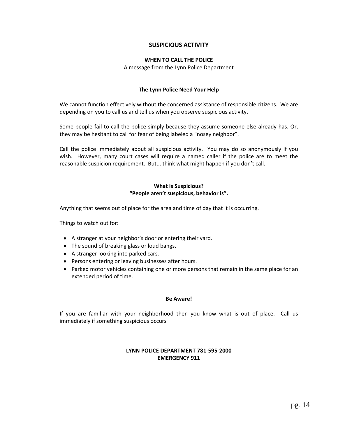#### **SUSPICIOUS ACTIVITY**

#### **WHEN TO CALL THE POLICE**

A message from the Lynn Police Department

#### **The Lynn Police Need Your Help**

<span id="page-15-0"></span>We cannot function effectively without the concerned assistance of responsible citizens. We are depending on you to call us and tell us when you observe suspicious activity.

Some people fail to call the police simply because they assume someone else already has. Or, they may be hesitant to call for fear of being labeled a "nosey neighbor".

Call the police immediately about all suspicious activity. You may do so anonymously if you wish. However, many court cases will require a named caller if the police are to meet the reasonable suspicion requirement. But... think what might happen if you don't call.

#### **What is Suspicious? "People aren't suspicious, behavior is".**

Anything that seems out of place for the area and time of day that it is occurring.

Things to watch out for:

- A stranger at your neighbor's door or entering their yard.
- The sound of breaking glass or loud bangs.
- A stranger looking into parked cars.
- Persons entering or leaving businesses after hours.
- Parked motor vehicles containing one or more persons that remain in the same place for an extended period of time.

#### **Be Aware!**

If you are familiar with your neighborhood then you know what is out of place. Call us immediately if something suspicious occurs

#### **LYNN POLICE DEPARTMENT 781-595-2000 EMERGENCY 911**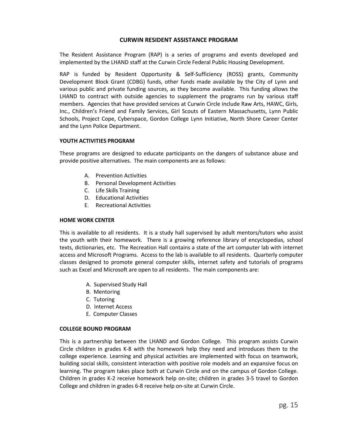#### **CURWIN RESIDENT ASSISTANCE PROGRAM**

<span id="page-16-0"></span>The Resident Assistance Program (RAP) is a series of programs and events developed and implemented by the LHAND staff at the Curwin Circle Federal Public Housing Development.

RAP is funded by Resident Opportunity & Self-Sufficiency (ROSS) grants, Community Development Block Grant (CDBG) funds, other funds made available by the City of Lynn and various public and private funding sources, as they become available. This funding allows the LHAND to contract with outside agencies to supplement the programs run by various staff members. Agencies that have provided services at Curwin Circle include Raw Arts, HAWC, Girls, Inc., Children's Friend and Family Services, Girl Scouts of Eastern Massachusetts, Lynn Public Schools, Project Cope, Cyberspace, Gordon College Lynn Initiative, North Shore Career Center and the Lynn Police Department.

#### <span id="page-16-1"></span>**YOUTH ACTIVITIES PROGRAM**

These programs are designed to educate participants on the dangers of substance abuse and provide positive alternatives. The main components are as follows:

- A. Prevention Activities
- B. Personal Development Activities
- C. Life Skills Training
- D. Educational Activities
- E. Recreational Activities

#### <span id="page-16-2"></span>**HOME WORK CENTER**

This is available to all residents. It is a study hall supervised by adult mentors/tutors who assist the youth with their homework. There is a growing reference library of encyclopedias, school texts, dictionaries, etc. The Recreation Hall contains a state of the art computer lab with internet access and Microsoft Programs. Access to the lab is available to all residents. Quarterly computer classes designed to promote general computer skills, internet safety and tutorials of programs such as Excel and Microsoft are open to all residents. The main components are:

- A. Supervised Study Hall
- B. Mentoring
- C. Tutoring
- D. Internet Access
- E. Computer Classes

#### <span id="page-16-3"></span>**COLLEGE BOUND PROGRAM**

This is a partnership between the LHAND and Gordon College. This program assists Curwin Circle children in grades K-8 with the homework help they need and introduces them to the college experience. Learning and physical activities are implemented with focus on teamwork, building social skills, consistent interaction with positive role models and an expansive focus on learning. The program takes place both at Curwin Circle and on the campus of Gordon College. Children in grades K-2 receive homework help on-site; children in grades 3-5 travel to Gordon College and children in grades 6-8 receive help on-site at Curwin Circle.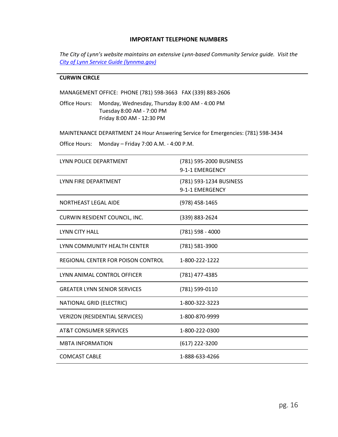#### **IMPORTANT TELEPHONE NUMBERS**

<span id="page-17-0"></span>*The City of Lynn's website maintains an extensive Lynn-based Community Service guide. Visit the [City of Lynn Service Guide \(lynnma.gov\)](http://www.lynnma.gov/service_guide.shtml#gpm1_1)*

#### **CURWIN CIRCLE**

MANAGEMENT OFFICE: PHONE (781) 598-3663 FAX (339) 883-2606

Office Hours: Monday, Wednesday, Thursday 8:00 AM - 4:00 PM Tuesday 8:00 AM - 7:00 PM Friday 8:00 AM - 12:30 PM

MAINTENANCE DEPARTMENT 24 Hour Answering Service for Emergencies: (781) 598-3434

Office Hours: Monday – Friday 7:00 A.M. - 4:00 P.M.

| LYNN POLICE DEPARTMENT              | (781) 595-2000 BUSINESS<br>9-1-1 EMERGENCY |
|-------------------------------------|--------------------------------------------|
| LYNN FIRE DEPARTMENT                | (781) 593-1234 BUSINESS<br>9-1-1 EMERGENCY |
| <b>NORTHEAST LEGAL AIDE</b>         | (978) 458-1465                             |
| CURWIN RESIDENT COUNCIL, INC.       | (339) 883-2624                             |
| <b>LYNN CITY HALL</b>               | (781) 598 - 4000                           |
| LYNN COMMUNITY HEALTH CENTER        | (781) 581-3900                             |
| REGIONAL CENTER FOR POISON CONTROL  | 1-800-222-1222                             |
| LYNN ANIMAL CONTROL OFFICER         | (781) 477-4385                             |
| <b>GREATER LYNN SENIOR SERVICES</b> | (781) 599-0110                             |
| NATIONAL GRID (ELECTRIC)            | 1-800-322-3223                             |
| VERIZON (RESIDENTIAL SERVICES)      | 1-800-870-9999                             |
| AT&T CONSUMER SERVICES              | 1-800-222-0300                             |
| <b>MBTA INFORMATION</b>             | (617) 222-3200                             |
| <b>COMCAST CABLE</b>                | 1-888-633-4266                             |